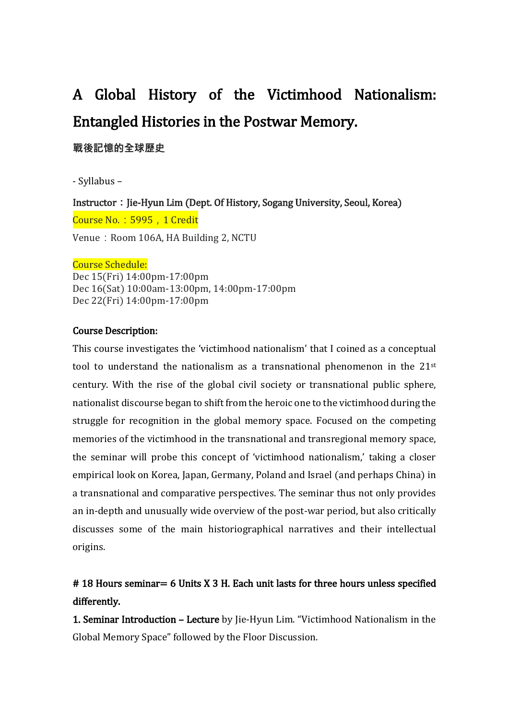# A Global History of the Victimhood Nationalism: Entangled Histories in the Postwar Memory.

**戰後記憶的全球歷史**

- Syllabus –

Instructor : Jie-Hyun Lim (Dept. Of History, Sogang University, Seoul, Korea) Course No.: 5995, 1 Credit Venue: Room 106A, HA Building 2, NCTU

#### Course Schedule:

Dec 15(Fri) 14:00pm-17:00pm Dec 16(Sat) 10:00am-13:00pm, 14:00pm-17:00pm Dec 22(Fri) 14:00pm-17:00pm

#### Course Description:

This course investigates the 'victimhood nationalism' that I coined as a conceptual tool to understand the nationalism as a transnational phenomenon in the 21<sup>st</sup> century. With the rise of the global civil society or transnational public sphere, nationalist discourse began to shift from the heroic one to the victimhood during the struggle for recognition in the global memory space. Focused on the competing memories of the victimhood in the transnational and transregional memory space, the seminar will probe this concept of 'victimhood nationalism,' taking a closer empirical look on Korea, Japan, Germany, Poland and Israel (and perhaps China) in a transnational and comparative perspectives. The seminar thus not only provides an in-depth and unusually wide overview of the post-war period, but also critically discusses some of the main historiographical narratives and their intellectual origins.

# # 18 Hours seminar= 6 Units X 3 H. Each unit lasts for three hours unless specified differently.

1. Seminar Introduction – Lecture by Jie-Hyun Lim. "Victimhood Nationalism in the Global Memory Space" followed by the Floor Discussion.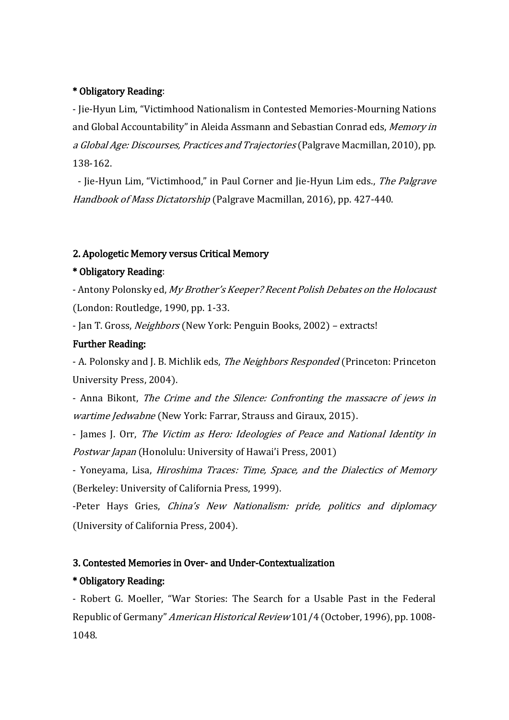#### \* Obligatory Reading:

- Jie-Hyun Lim, "Victimhood Nationalism in Contested Memories-Mourning Nations and Global Accountability" in Aleida Assmann and Sebastian Conrad eds, Memory in a Global Age: Discourses, Practices and Trajectories (Palgrave Macmillan, 2010), pp. 138-162.

- Jie-Hyun Lim, "Victimhood," in Paul Corner and Jie-Hyun Lim eds., The Palgrave Handbook of Mass Dictatorship (Palgrave Macmillan, 2016), pp. 427-440.

#### 2. Apologetic Memory versus Critical Memory

#### \* Obligatory Reading:

- Antony Polonsky ed, My Brother's Keeper? Recent Polish Debates on the Holocaust (London: Routledge, 1990, pp. 1-33.

- Jan T. Gross, Neighbors (New York: Penguin Books, 2002) – extracts!

#### Further Reading:

- A. Polonsky and J. B. Michlik eds, *The Neighbors Responded* (Princeton: Princeton University Press, 2004).

- Anna Bikont, The Crime and the Silence: Confronting the massacre of jews in wartime Jedwabne (New York: Farrar, Strauss and Giraux, 2015).

- James J. Orr, The Victim as Hero: Ideologies of Peace and National Identity in Postwar Japan (Honolulu: University of Hawai'i Press, 2001)

- Yoneyama, Lisa, *Hiroshima Traces: Time, Space, and the Dialectics of Memory* (Berkeley: University of California Press, 1999).

-Peter Hays Gries, China's New Nationalism: pride, politics and diplomacy (University of California Press, 2004).

#### 3. Contested Memories in Over- and Under-Contextualization

#### \* Obligatory Reading:

- Robert G. Moeller, "War Stories: The Search for a Usable Past in the Federal Republic of Germany" American Historical Review 101/4 (October, 1996), pp. 1008- 1048.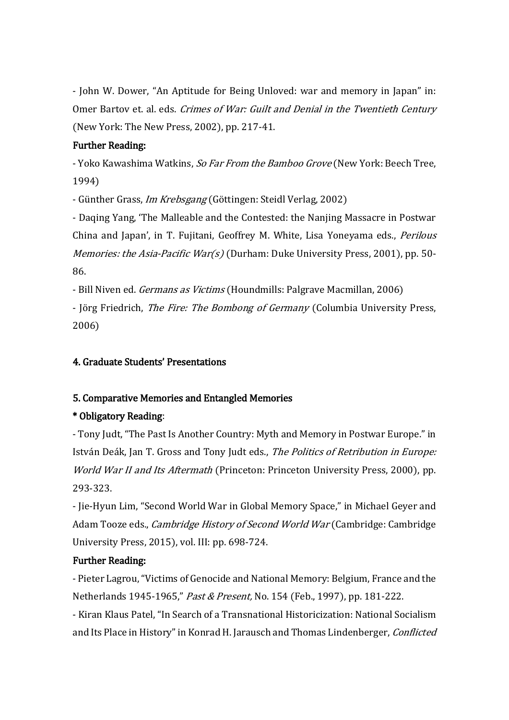- John W. Dower, "An Aptitude for Being Unloved: war and memory in Japan" in: Omer Bartov et. al. eds. Crimes of War: Guilt and Denial in the Twentieth Century (New York: The New Press, 2002), pp. 217-41.

## Further Reading:

- Yoko Kawashima Watkins, So Far From the Bamboo Grove (New York: Beech Tree, 1994)

- Günther Grass, Im Krebsgang (Göttingen: Steidl Verlag, 2002)

- Daqing Yang, 'The Malleable and the Contested: the Nanjing Massacre in Postwar China and Japan', in T. Fujitani, Geoffrey M. White, Lisa Yoneyama eds., Perilous *Memories: the Asia-Pacific War(s)* (Durham: Duke University Press, 2001), pp. 50-86.

- Bill Niven ed. *Germans as Victims* (Houndmills: Palgrave Macmillan, 2006)

- Jörg Friedrich, The Fire: The Bombong of Germany (Columbia University Press, 2006)

# 4. Graduate Students' Presentations

# 5. Comparative Memories and Entangled Memories

# \* Obligatory Reading:

- Tony Judt, "The Past Is Another Country: Myth and Memory in Postwar Europe." in István Deák, Jan T. Gross and Tony Judt eds., The Politics of Retribution in Europe: World War II and Its Aftermath (Princeton: Princeton University Press, 2000), pp. 293-323.

- Jie-Hyun Lim, "Second World War in Global Memory Space," in Michael Geyer and Adam Tooze eds., *Cambridge History of Second World War* (Cambridge: Cambridge University Press, 2015), vol. III: pp. 698-724.

# Further Reading:

- Pieter Lagrou, "Victims of Genocide and National Memory: Belgium, France and the Netherlands 1945-1965," Past & Present, No. 154 (Feb., 1997), pp. 181-222.

- Kiran Klaus Patel, "In Search of a Transnational Historicization: National Socialism and Its Place in History" in Konrad H. Jarausch and Thomas Lindenberger, Conflicted